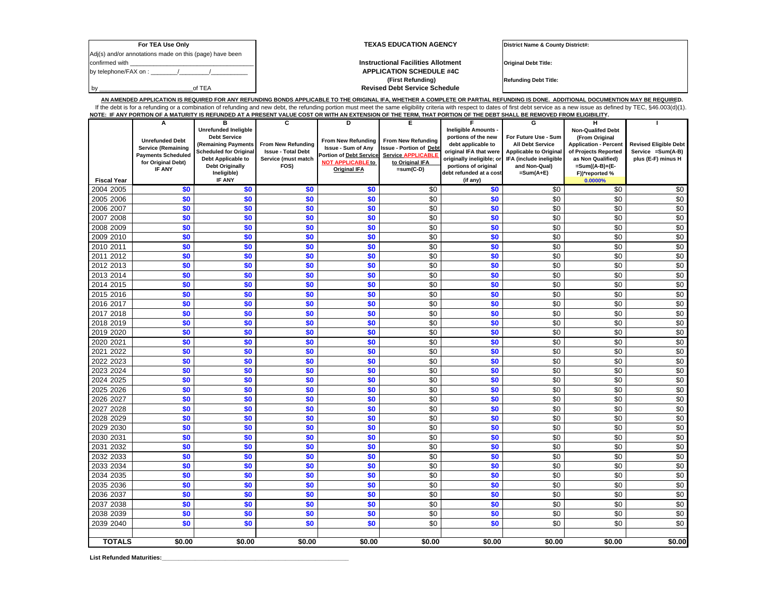| For TEA Use Only                                        | <b>TEXAS EDUCATION AGENCY</b>             | District Name & County District#: |
|---------------------------------------------------------|-------------------------------------------|-----------------------------------|
| Adj(s) and/or annotations made on this (page) have been |                                           |                                   |
| confirmed with                                          | <b>Instructional Facilities Allotment</b> | <b>Original Debt Title:</b>       |
| by telephone/FAX on :                                   | <b>APPLICATION SCHEDULE #4C</b>           |                                   |
|                                                         | (First Refunding)                         | <b>Refunding Debt Title:</b>      |
| of TEA                                                  | <b>Revised Debt Service Schedule</b>      |                                   |

**AN AMENDED APPLICATION IS REQUIRED FOR ANY REFUNDING BONDS APPLICABLE TO THE ORIGINAL IFA, WHETHER A COMPLETE OR PARTIAL REFUNDING IS DONE. ADDITIONAL DOCUMENTION MAY BE REQUIRED.**  If the debt is for a refunding or a combination of refunding and new debt, the refunding portion must meet the same eligibility criteria with respect to dates of first debt service as a new issue as defined by TEC, §46.003 **NOTE: IF ANY PORTION OF A MATURITY IS REFUNDED AT A PRESENT VALUE COST OR WITH AN EXTENSION OF THE TERM, THAT PORTION OF THE DEBT SHALL BE REMOVED FROM ELIGIBILITY.** 

|                    | A                         | B                                                    | c                                               | D                        | Е                              |                                              | G                                                        | н                                                    |                                                    |
|--------------------|---------------------------|------------------------------------------------------|-------------------------------------------------|--------------------------|--------------------------------|----------------------------------------------|----------------------------------------------------------|------------------------------------------------------|----------------------------------------------------|
|                    |                           | Unrefunded Ineligble                                 |                                                 |                          |                                | Ineligible Amounts -                         |                                                          | <b>Non-Qualifed Debt</b>                             |                                                    |
|                    | <b>Unrefunded Debt</b>    | <b>Debt Service</b>                                  |                                                 | From New Refunding       | <b>From New Refunding</b>      | portions of the new                          | For Future Use - Sum                                     | (From Original                                       |                                                    |
|                    | <b>Service (Remaining</b> | (Remaining Payments<br><b>Scheduled for Original</b> | From New Refunding<br><b>Issue - Total Debt</b> | Issue - Sum of Any       | <b>Issue - Portion of Debt</b> | debt applicable to<br>original IFA that were | <b>All Debt Service</b><br><b>Applicable to Original</b> | <b>Application - Percent</b><br>of Projects Reported | <b>Revised Eligible Debt</b><br>Service = Sum(A-B) |
|                    | <b>Payments Scheduled</b> | Debt Applicable to                                   | Service (must match                             | Portion of Debt Service  | <b>Service APPLICABLE</b>      | originally ineligible; or                    | IFA (include ineligible                                  | as Non Qualified)                                    | plus (E-F) minus H                                 |
|                    | for Original Debt)        | <b>Debt Originally</b>                               | FOS)                                            | <b>NOT APPLICABLE to</b> | to Original IFA                | portions of original                         | and Non-Qual)                                            | $=Sum((A-B)+(E-E))$                                  |                                                    |
|                    | IF ANY                    | Ineligible)                                          |                                                 | <b>Original IFA</b>      | $=sum(C-D)$                    | debt refunded at a cost                      | $=Sum(A+E)$                                              | F))*reported %                                       |                                                    |
| <b>Fiscal Year</b> |                           | IF ANY                                               |                                                 |                          |                                | (if any)                                     |                                                          | 0.0000%                                              |                                                    |
| 2004 2005          | \$0                       | \$0                                                  | \$0                                             | \$0                      | $\overline{50}$                | \$0                                          | \$0                                                      | \$0                                                  | \$0                                                |
| 2005 2006          | \$0                       | \$0                                                  | \$0                                             | \$0                      | \$0                            | \$0                                          | \$0                                                      | \$0                                                  | $\sqrt{6}$                                         |
| 2006 2007          | \$0                       | \$0                                                  | \$0                                             | \$0                      | \$0                            | \$0                                          | \$0                                                      | \$0                                                  | \$0                                                |
| 2007 2008          | \$0                       | \$0                                                  | \$0                                             | \$0                      | $\sqrt{6}$                     | \$0                                          | \$0                                                      | \$0                                                  | \$0                                                |
| 2008 2009          | \$0                       | \$0                                                  | \$0                                             | \$0                      | \$0                            | \$0                                          | \$0                                                      | \$0                                                  | \$0                                                |
| 2009 2010          | \$0                       | \$0                                                  | \$0                                             | \$0                      | \$0                            | \$0                                          | \$0                                                      | \$0                                                  | \$0                                                |
| 2010 2011          | \$0                       | \$0                                                  | \$0                                             | \$0                      | \$0                            | \$0                                          | \$0                                                      | \$0                                                  | $\sqrt{6}$                                         |
| 2011 2012          | \$0                       | \$0                                                  | \$0                                             | \$0                      | \$0                            | \$0                                          | \$0                                                      | \$0                                                  | \$0                                                |
| 2012 2013          | \$0                       | \$0                                                  | \$0                                             | \$0                      | \$0                            | \$0                                          | \$0                                                      | \$0                                                  | $\sqrt{6}$                                         |
| 2013 2014          | \$0                       | \$0                                                  | \$0                                             | \$0                      | \$0                            | \$0                                          | \$0                                                      | \$0                                                  | $\sqrt{6}$                                         |
| 2014 2015          | \$0                       | \$0                                                  | \$0                                             | \$0                      | \$0                            | \$0                                          | \$0                                                      | \$0                                                  | \$0                                                |
| 2015 2016          | \$0                       | \$0                                                  | \$0                                             | \$0                      | \$0                            | \$0                                          | \$0                                                      | \$0                                                  | \$0                                                |
| 2016 2017          | \$0                       | \$0                                                  | \$0                                             | \$0                      | $\sqrt{6}$                     | \$0                                          | \$0                                                      | \$0                                                  | \$0                                                |
| 2017 2018          | \$0                       | \$0                                                  | \$0                                             | \$0                      | $\sqrt{6}$                     | \$0                                          | \$0                                                      | \$0                                                  | \$0                                                |
| 2018 2019          | \$0                       | \$0                                                  | \$0                                             | \$0                      | \$0                            | \$0                                          | \$0                                                      | \$0                                                  | \$0                                                |
| 2019 2020          | \$0                       | \$0                                                  | \$0                                             | \$0                      | $\sqrt{6}$                     | \$0                                          | \$0                                                      | \$0                                                  | \$0                                                |
| 2020 2021          | \$0                       | \$0                                                  | \$0                                             | \$0                      | \$0                            | \$0                                          | \$0                                                      | \$0                                                  | \$0                                                |
| 2021 2022          | \$0                       | \$0                                                  | \$0                                             | \$0                      | \$0                            | \$0                                          | \$0                                                      | \$0                                                  | \$0                                                |
| 2022 2023          | \$0                       | \$0                                                  | \$0                                             | \$0                      | \$0                            | \$0                                          | \$0                                                      | \$0                                                  | \$0                                                |
| 2023 2024          | \$0                       | \$0                                                  | \$0                                             | \$0                      | \$0                            | \$0                                          | \$0                                                      | \$0                                                  | \$0                                                |
| 2024 2025          | \$0                       | \$0                                                  | \$0                                             | \$0                      | \$0                            | \$0                                          | \$0                                                      | \$0                                                  | $\sqrt{6}$                                         |
| 2025 2026          | \$0                       | \$0                                                  | \$0                                             | \$0                      | $\sqrt{6}$                     | \$0                                          | $\sqrt{6}$                                               | \$0                                                  | \$0                                                |
| 2026 2027          | \$0                       | \$0                                                  | \$0                                             | \$0                      | \$0                            | \$0                                          | \$0                                                      | \$0                                                  | $\sqrt{6}$                                         |
| 2027 2028          | \$0                       | \$0                                                  | \$0                                             | \$0                      | \$0                            | \$0                                          | \$0                                                      | \$0                                                  | \$0                                                |
| 2028 2029          | \$0                       | \$0                                                  | \$0                                             | \$0                      | $\sqrt{6}$                     | \$0                                          | \$0                                                      | \$0                                                  | \$0                                                |
| 2029 2030          | \$0                       | \$0                                                  | \$0                                             | \$0                      | $\sqrt{6}$                     | \$0                                          | \$0                                                      | \$0                                                  | \$0                                                |
| 2030 2031          | \$0                       | \$0                                                  | \$0                                             | \$0                      | \$0                            | \$0                                          | \$0                                                      | \$0                                                  | \$0                                                |
| 2031 2032          | \$0                       | \$0                                                  | \$0                                             | \$0                      | \$0                            | \$0                                          | \$0                                                      | \$0                                                  | \$0                                                |
| 2032 2033          | \$0                       | \$0                                                  | \$0                                             | \$0                      | \$0                            | \$0                                          | \$0                                                      | \$0                                                  | \$0                                                |
| 2033 2034          | \$0                       | \$0                                                  | \$0                                             | \$0                      | \$0                            | \$0                                          | \$0                                                      | \$0                                                  | \$0                                                |
| 2034 2035          | \$0                       | \$0                                                  | \$0                                             | \$0                      | \$0                            | \$0                                          | \$0                                                      | \$0                                                  | \$0                                                |
| 2035 2036          | \$0                       | \$0                                                  | \$0                                             | \$0                      | \$0                            | \$0                                          | \$0                                                      | \$0                                                  | \$0                                                |
| 2036 2037          | \$0                       | \$0                                                  | \$0                                             | \$0                      | \$0                            | \$0                                          | \$0                                                      | $\sqrt{6}$                                           | $\sqrt{6}$                                         |
| 2037 2038          | \$0                       | \$0                                                  | \$0                                             | \$0                      | $\sqrt{6}$                     | \$0                                          | \$0                                                      | \$0                                                  | \$0                                                |
| 2038 2039          | \$0                       | \$0                                                  | \$0                                             | \$0                      | \$0                            | \$0                                          | \$0                                                      | \$0                                                  | $\sqrt{6}$                                         |
| 2039 2040          | \$0                       | \$0                                                  | \$0                                             | \$0                      | \$0                            | \$0                                          | \$0                                                      | \$0                                                  | \$0                                                |
|                    |                           |                                                      |                                                 |                          |                                |                                              |                                                          |                                                      |                                                    |
| <b>TOTALS</b>      | \$0.00                    | \$0.00                                               | \$0.00                                          | \$0.00                   | \$0.00                         | \$0.00                                       | \$0.00                                                   | \$0.00                                               | \$0.00                                             |

List Refunded Maturities: